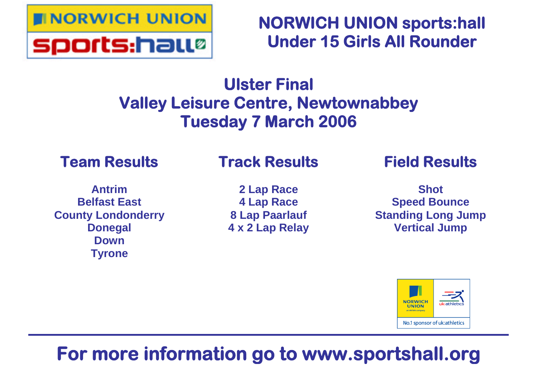

**NORWICH UNION sports:hall Under 15 Girls All Rounder**

## **Ulster Final Valley Leisure Centre, Newtownabbey Tuesday 7 March 2006**

## **Team Results**

## **Track Results**

**Antrim Belfast East County Londonderry Donegal Down Tyrone**

**2 Lap Race 4 Lap Race 8 Lap Paarlauf 4 x 2 Lap Relay** **Field Results**

**Shot Speed Bounce Standing Long Jump Vertical Jump**



## **For more information go to www.sportshall.org**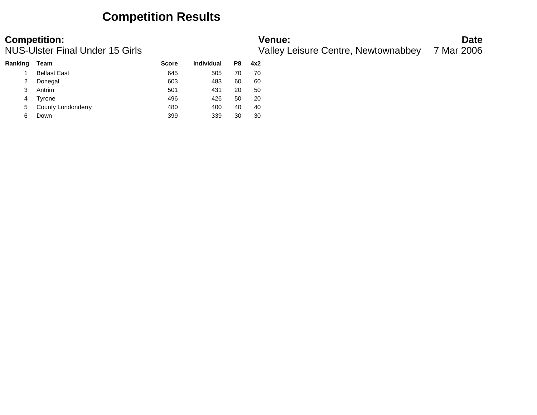### **Competition Results**

| <b>Competition:</b>             | <b>Venue:</b>                                  | <b>Date</b> |
|---------------------------------|------------------------------------------------|-------------|
| NUS-Ulster Final Under 15 Girls | Valley Leisure Centre, Newtownabbey 7 Mar 2006 |             |

| Ranking | Team                | <b>Score</b> | Individual | P8 | 4x2 |
|---------|---------------------|--------------|------------|----|-----|
|         | <b>Belfast East</b> | 645          | 505        | 70 | 70  |
| 2       | Donegal             | 603          | 483        | 60 | 60  |
| 3       | Antrim              | 501          | 431        | 20 | 50  |
| 4       | Tvrone              | 496          | 426        | 50 | 20  |
| 5       | County Londonderry  | 480          | 400        | 40 | 40  |
| 6       | Down                | 399          | 339        | 30 | 30  |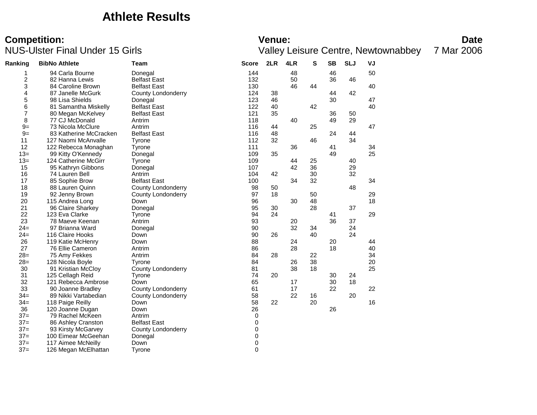### **Athlete Results**

# **Competition:**<br>**Date**<br>
Valley Leisure Centre, Newtownabbey 7 Mar 2006<br>
Valley Leisure Centre, Newtownabbey 7 Mar 2006

| Ranking                 | <b>BibNo Athlete</b>   | Team                      | <b>Score</b> | 2LR | 4LR | s  | <b>SB</b> | <b>SLJ</b> | VJ |
|-------------------------|------------------------|---------------------------|--------------|-----|-----|----|-----------|------------|----|
| 1                       | 94 Carla Bourne        | Donegal                   | 144          |     | 48  |    | 46        |            | 50 |
| $\overline{\mathbf{c}}$ | 82 Hanna Lewis         | <b>Belfast East</b>       | 132          |     | 50  |    | 36        | 46         |    |
| 3                       | 84 Caroline Brown      | <b>Belfast East</b>       | 130          |     | 46  | 44 |           |            | 40 |
| 4                       | 87 Janelle McGurk      | County Londonderry        | 124          | 38  |     |    | 44        | 42         |    |
| 5                       | 98 Lisa Shields        | Donegal                   | 123          | 46  |     |    | 30        |            | 47 |
| 6                       | 81 Samantha Miskelly   | <b>Belfast East</b>       | 122          | 40  |     | 42 |           |            | 40 |
| 7                       | 80 Megan McKelvey      | <b>Belfast East</b>       | 121          | 35  |     |    | 36        | 50         |    |
| 8                       | 77 CJ McDonald         | Antrim                    | 118          |     | 40  |    | 49        | 29         |    |
| $9=$                    | 73 Nicola McClure      | Antrim                    | 116          | 44  |     | 25 |           |            | 47 |
| $9=$                    | 83 Katherine McCracken | <b>Belfast East</b>       | 116          | 48  |     |    | 24        | 44         |    |
| 11                      | 127 Naomi McAnvalle    | Tyrone                    | 112          | 32  |     | 46 |           | 34         |    |
| 12                      | 122 Rebecca Monaghan   | Tyrone                    | 111          |     | 36  |    | 41        |            | 34 |
| $13=$                   | 99 Kitty O'Kennedy     | Donegal                   | 109          | 35  |     |    | 49        |            | 25 |
| $13 =$                  | 124 Catherine McGirr   | Tyrone                    | 109          |     | 44  | 25 |           | 40         |    |
| 15                      | 95 Kathryn Gibbons     | Donegal                   | 107          |     | 42  | 36 |           | 29         |    |
| 16                      | 74 Lauren Bell         | Antrim                    | 104          | 42  |     | 30 |           | 32         |    |
| 17                      | 85 Sophie Brow         | <b>Belfast East</b>       | 100          |     | 34  | 32 |           |            | 34 |
| 18                      | 88 Lauren Quinn        | <b>County Londonderry</b> | 98           | 50  |     |    |           | 48         |    |
| 19                      | 92 Jenny Brown         | <b>County Londonderry</b> | 97           | 18  |     | 50 |           |            | 29 |
| 20                      | 115 Andrea Long        | Down                      | 96           |     | 30  | 48 |           |            | 18 |
| 21                      | 96 Claire Sharkey      | Donegal                   | 95           | 30  |     | 28 |           | 37         |    |
| 22                      | 123 Eva Clarke         | Tyrone                    | 94           | 24  |     |    | 41        |            | 29 |
| 23                      | 78 Maeve Keenan        | Antrim                    | 93           |     | 20  |    | 36        | 37         |    |
| $24=$                   | 97 Brianna Ward        | Donegal                   | 90           |     | 32  | 34 |           | 24         |    |
| $24=$                   | 116 Claire Hooks       | Down                      | 90           | 26  |     | 40 |           | 24         |    |
| 26                      | 119 Katie McHenry      | Down                      | 88           |     | 24  |    | 20        |            | 44 |
| 27                      | 76 Ellie Cameron       | Antrim                    | 86           |     | 28  |    | 18        |            | 40 |
| $28=$                   | 75 Amy Fekkes          | Antrim                    | 84           | 28  |     | 22 |           |            | 34 |
| $28=$                   | 128 Nicola Boyle       | Tyrone                    | 84           |     | 26  | 38 |           |            | 20 |
| 30                      | 91 Kristian McCloy     | <b>County Londonderry</b> | 81           |     | 38  | 18 |           |            | 25 |
| 31                      | 125 Cellagh Reid       | Tyrone                    | 74           | 20  |     |    | 30        | 24         |    |
| 32                      | 121 Rebecca Ambrose    | Down                      | 65           |     | 17  |    | 30        | 18         |    |
| 33                      | 90 Joanne Bradley      | <b>County Londonderry</b> | 61           |     | 17  |    | 22        |            | 22 |
| $34=$                   | 89 Nikki Vartabedian   | <b>County Londonderry</b> | 58           |     | 22  | 16 |           | 20         |    |
| $34=$                   | 118 Paige Reilly       | Down                      | 58           | 22  |     | 20 |           |            | 16 |
| 36                      | 120 Joanne Dugan       | Down                      | 26           |     |     |    | 26        |            |    |
| $37=$                   | 79 Rachel McKeen       | Antrim                    | 0            |     |     |    |           |            |    |
| $37=$                   | 86 Ashley Cranston     | <b>Belfast East</b>       | 0            |     |     |    |           |            |    |
| $37=$                   | 93 Kirsty McGarvey     | County Londonderry        | 0            |     |     |    |           |            |    |
| $37=$                   | 100 Eimear McGeehan    | Donegal                   | 0            |     |     |    |           |            |    |
| $37=$                   | 117 Aimee McNeilly     | Down                      | 0            |     |     |    |           |            |    |
| $37=$                   | 126 Megan McElhattan   | Tyrone                    | 0            |     |     |    |           |            |    |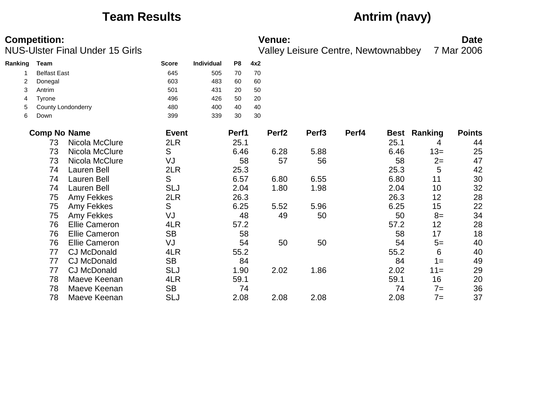## **Team Results Antrim (navy)**

|         | <b>Competition:</b> | <b>NUS-Ulster Final Under 15 Girls</b> |              |                   |                |     | <b>Venue:</b>     |                   | Valley Leisure Centre, Newtownabbey |      |                     | <b>Date</b><br>7 Mar 2006 |
|---------|---------------------|----------------------------------------|--------------|-------------------|----------------|-----|-------------------|-------------------|-------------------------------------|------|---------------------|---------------------------|
| Ranking | Team                |                                        | <b>Score</b> | <b>Individual</b> | P <sub>8</sub> | 4x2 |                   |                   |                                     |      |                     |                           |
|         | <b>Belfast East</b> |                                        | 645          | 505               | 70             | 70  |                   |                   |                                     |      |                     |                           |
| 2       | Donegal             |                                        | 603          | 483               | 60             | 60  |                   |                   |                                     |      |                     |                           |
| 3       | Antrim              |                                        | 501          | 431               | 20             | 50  |                   |                   |                                     |      |                     |                           |
| 4       | Tyrone              |                                        | 496          | 426               | 50             | 20  |                   |                   |                                     |      |                     |                           |
| 5       |                     | <b>County Londonderry</b>              | 480          | 400               | 40             | 40  |                   |                   |                                     |      |                     |                           |
| 6       | Down                |                                        | 399          | 339               | 30             | 30  |                   |                   |                                     |      |                     |                           |
|         | <b>Comp No Name</b> |                                        | <b>Event</b> |                   | Perf1          |     | Perf <sub>2</sub> | Perf <sub>3</sub> | Perf4                               |      | <b>Best Ranking</b> | <b>Points</b>             |
|         | 73                  | Nicola McClure                         | 2LR          |                   | 25.1           |     |                   |                   |                                     | 25.1 | 4                   | 44                        |
|         | 73                  | Nicola McClure                         | S            |                   | 6.46           |     | 6.28              | 5.88              |                                     | 6.46 | $13=$               | 25                        |
|         | 73                  | Nicola McClure                         | VJ           |                   | 58             |     | 57                | 56                |                                     | 58   | $2=$                | 47                        |
|         | 74                  | Lauren Bell                            | 2LR          |                   | 25.3           |     |                   |                   |                                     | 25.3 | 5                   | 42                        |
|         | 74                  | <b>Lauren Bell</b>                     | S            |                   | 6.57           |     | 6.80              | 6.55              |                                     | 6.80 | 11                  | 30                        |
|         | 74                  | Lauren Bell                            | <b>SLJ</b>   |                   | 2.04           |     | 1.80              | 1.98              |                                     | 2.04 | 10                  | 32                        |
|         | 75                  | Amy Fekkes                             | 2LR          |                   | 26.3           |     |                   |                   |                                     | 26.3 | 12                  | 28                        |
|         | 75                  | Amy Fekkes                             | S            |                   | 6.25           |     | 5.52              | 5.96              |                                     | 6.25 | 15                  | 22                        |
|         | 75                  | Amy Fekkes                             | VJ           |                   | 48             |     | 49                | 50                |                                     | 50   | $8=$                | 34                        |
|         | 76                  | <b>Ellie Cameron</b>                   | 4LR          |                   | 57.2           |     |                   |                   |                                     | 57.2 | 12                  | 28                        |
|         | 76                  | <b>Ellie Cameron</b>                   | <b>SB</b>    |                   | 58             |     |                   |                   |                                     | 58   | 17                  | 18                        |
|         | 76                  | <b>Ellie Cameron</b>                   | VJ           |                   | 54             |     | 50                | 50                |                                     | 54   | $5=$                | 40                        |
|         | 77                  | <b>CJ McDonald</b>                     | 4LR          |                   | 55.2           |     |                   |                   |                                     | 55.2 | 6                   | 40                        |
|         | 77                  | <b>CJ McDonald</b>                     | <b>SB</b>    |                   | 84             |     |                   |                   |                                     | 84   | $1 =$               | 49                        |
|         | 77                  | <b>CJ McDonald</b>                     | <b>SLJ</b>   |                   | 1.90           |     | 2.02              | 1.86              |                                     | 2.02 | $11 =$              | 29                        |
|         | 78                  | Maeve Keenan                           | 4LR          |                   | 59.1           |     |                   |                   |                                     | 59.1 | 16                  | 20                        |
|         | 78                  | Maeve Keenan                           | <b>SB</b>    |                   | 74             |     |                   |                   |                                     | 74   | $7 =$               | 36                        |
|         | 78                  | Maeve Keenan                           | <b>SLJ</b>   |                   | 2.08           |     | 2.08              | 2.08              |                                     | 2.08 | $7 =$               | 37                        |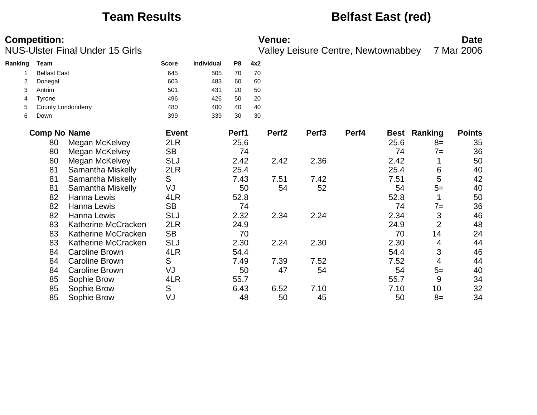### **Team Results Belfast East (red)**

|         | <b>Competition:</b> | <b>NUS-Ulster Final Under 15 Girls</b> |              |                   |                |     | <b>Venue:</b>     |                   | <b>Valley Leisure Centre, Newtownabbey</b> |             |                | <b>Date</b><br>7 Mar 2006 |
|---------|---------------------|----------------------------------------|--------------|-------------------|----------------|-----|-------------------|-------------------|--------------------------------------------|-------------|----------------|---------------------------|
| Ranking | Team                |                                        | <b>Score</b> | <b>Individual</b> | P <sub>8</sub> | 4x2 |                   |                   |                                            |             |                |                           |
|         | <b>Belfast East</b> |                                        | 645          | 505               | 70             | 70  |                   |                   |                                            |             |                |                           |
| 2       | Donegal             |                                        | 603          | 483               | 60             | 60  |                   |                   |                                            |             |                |                           |
| 3       | Antrim              |                                        | 501          | 431               | 20             | 50  |                   |                   |                                            |             |                |                           |
| 4       | Tyrone              |                                        | 496          | 426               | 50             | 20  |                   |                   |                                            |             |                |                           |
| 5       | County Londonderry  |                                        | 480          | 400               | 40             | 40  |                   |                   |                                            |             |                |                           |
| 6       | Down                |                                        | 399          | 339               | 30             | 30  |                   |                   |                                            |             |                |                           |
|         | <b>Comp No Name</b> |                                        | <b>Event</b> |                   | Perf1          |     | Perf <sub>2</sub> | Perf <sub>3</sub> | Perf4                                      | <b>Best</b> | Ranking        | <b>Points</b>             |
|         | 80                  | Megan McKelvey                         | 2LR          |                   | 25.6           |     |                   |                   |                                            | 25.6        | $8=$           | 35                        |
|         | 80                  | Megan McKelvey                         | <b>SB</b>    |                   | 74             |     |                   |                   |                                            | 74          | $7 =$          | 36                        |
|         | 80                  | Megan McKelvey                         | <b>SLJ</b>   |                   | 2.42           |     | 2.42              | 2.36              |                                            | 2.42        | 1              | 50                        |
|         | 81                  | Samantha Miskelly                      | 2LR          |                   | 25.4           |     |                   |                   |                                            | 25.4        | 6              | 40                        |
|         | 81                  | Samantha Miskelly                      | S            |                   | 7.43           |     | 7.51              | 7.42              |                                            | 7.51        | 5              | 42                        |
|         | 81                  | Samantha Miskelly                      | VJ           |                   | 50             |     | 54                | 52                |                                            | 54          | $5=$           | 40                        |
|         | 82                  | Hanna Lewis                            | 4LR          |                   | 52.8           |     |                   |                   |                                            | 52.8        | 1              | 50                        |
|         | 82                  | Hanna Lewis                            | <b>SB</b>    |                   | 74             |     |                   |                   |                                            | 74          | $7=$           | 36                        |
|         | 82                  | Hanna Lewis                            | <b>SLJ</b>   |                   | 2.32           |     | 2.34              | 2.24              |                                            | 2.34        | 3              | 46                        |
|         | 83                  | Katherine McCracken                    | 2LR          |                   | 24.9           |     |                   |                   |                                            | 24.9        | $\overline{2}$ | 48                        |
|         | 83                  | Katherine McCracken                    | <b>SB</b>    |                   | 70             |     |                   |                   |                                            | 70          | 14             | 24                        |
|         | 83                  | Katherine McCracken                    | <b>SLJ</b>   |                   | 2.30           |     | 2.24              | 2.30              |                                            | 2.30        | 4              | 44                        |
|         | 84                  | <b>Caroline Brown</b>                  | 4LR          |                   | 54.4           |     |                   |                   |                                            | 54.4        | 3              | 46                        |
|         | 84                  | <b>Caroline Brown</b>                  | S            |                   | 7.49           |     | 7.39              | 7.52              |                                            | 7.52        | 4              | 44                        |
|         | 84                  | <b>Caroline Brown</b>                  | VJ           |                   | 50             |     | 47                | 54                |                                            | 54          | $5=$           | 40                        |
|         | 85                  | Sophie Brow                            | 4LR          |                   | 55.7           |     |                   |                   |                                            | 55.7        | 9              | 34                        |
|         | 85                  | Sophie Brow                            | S            |                   | 6.43           |     | 6.52              | 7.10              |                                            | 7.10        | 10             | 32                        |
|         | 85                  | Sophie Brow                            | VJ           |                   | 48             |     | 50                | 45                |                                            | 50          | $8=$           | 34                        |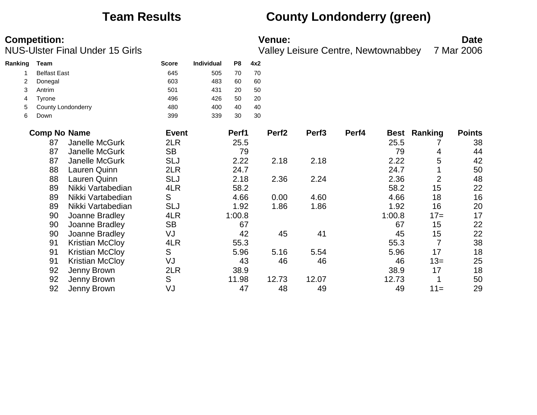### **Team Results County Londonderry (green)**

**Competition:**<br>**Date**<br>Valley Leisure Centre, Newtownabbey 7 Mar 2006 Valley Leisure Centre, Newtownabbey 7 Mar 2006

| Ranking | Team                |                           | <b>Score</b> | <b>Individual</b> | P8     | 4x2 |                   |                   |       |        |                     |               |
|---------|---------------------|---------------------------|--------------|-------------------|--------|-----|-------------------|-------------------|-------|--------|---------------------|---------------|
|         | <b>Belfast East</b> |                           | 645          | 505               | 70     | 70  |                   |                   |       |        |                     |               |
|         | Donegal             |                           | 603          | 483               | 60     | 60  |                   |                   |       |        |                     |               |
| 3       | Antrim              |                           | 501          | 431               | 20     | 50  |                   |                   |       |        |                     |               |
| 4       | Tyrone              |                           | 496          | 426               | 50     | 20  |                   |                   |       |        |                     |               |
| 5       |                     | <b>County Londonderry</b> | 480          | 400               | 40     | 40  |                   |                   |       |        |                     |               |
| 6       | Down                |                           | 399          | 339               | 30     | 30  |                   |                   |       |        |                     |               |
|         | <b>Comp No Name</b> |                           | <b>Event</b> |                   | Perf1  |     | Perf <sub>2</sub> | Perf <sub>3</sub> | Perf4 |        | <b>Best Ranking</b> | <b>Points</b> |
|         | 87                  | Janelle McGurk            | 2LR          |                   | 25.5   |     |                   |                   |       | 25.5   |                     | 38            |
|         | 87                  | Janelle McGurk            | <b>SB</b>    |                   | 79     |     |                   |                   |       | 79     | 4                   | 44            |
|         | 87                  | Janelle McGurk            | <b>SLJ</b>   |                   | 2.22   |     | 2.18              | 2.18              |       | 2.22   | 5                   | 42            |
|         | 88                  | Lauren Quinn              | 2LR          |                   | 24.7   |     |                   |                   |       | 24.7   |                     | 50            |
|         | 88                  | Lauren Quinn              | <b>SLJ</b>   |                   | 2.18   |     | 2.36              | 2.24              |       | 2.36   | $\overline{2}$      | 48            |
|         | 89                  | Nikki Vartabedian         | 4LR          |                   | 58.2   |     |                   |                   |       | 58.2   | 15                  | 22            |
|         | 89                  | Nikki Vartabedian         | S            |                   | 4.66   |     | 0.00              | 4.60              |       | 4.66   | 18                  | 16            |
|         | 89                  | Nikki Vartabedian         | <b>SLJ</b>   |                   | 1.92   |     | 1.86              | 1.86              |       | 1.92   | 16                  | 20            |
|         | 90                  | Joanne Bradley            | 4LR          |                   | 1:00.8 |     |                   |                   |       | 1:00.8 | $17=$               | 17            |
|         | 90                  | Joanne Bradley            | <b>SB</b>    |                   | 67     |     |                   |                   |       | 67     | 15                  | 22            |
|         | 90                  | Joanne Bradley            | VJ           |                   | 42     |     | 45                | 41                |       | 45     | 15                  | 22            |
|         | 91                  | <b>Kristian McCloy</b>    | 4LR          |                   | 55.3   |     |                   |                   |       | 55.3   | 7                   | 38            |
|         | 91                  | <b>Kristian McCloy</b>    | S            |                   | 5.96   |     | 5.16              | 5.54              |       | 5.96   | 17                  | 18            |
|         | 91                  | <b>Kristian McCloy</b>    | VJ           |                   | 43     |     | 46                | 46                |       | 46     | $13=$               | 25            |
|         | 92                  | Jenny Brown               | 2LR          |                   | 38.9   |     |                   |                   |       | 38.9   | 17                  | 18            |

 Jenny Brown S 11.98 12.73 12.07 12.73 1 50 Jenny Brown VJ 47 48 49 49 11= 29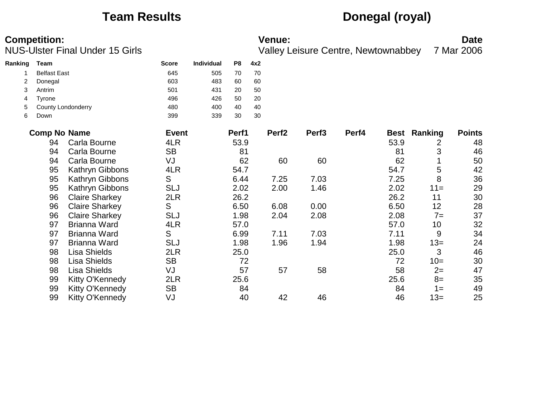### **Team Results Donegal (royal)**

|         | <b>Competition:</b> | <b>NUS-Ulster Final Under 15 Girls</b> |              |            |                |     | <b>Venue:</b>     |                   | <b>Valley Leisure Centre, Newtownabbey</b> |             |         | <b>Date</b><br>7 Mar 2006 |
|---------|---------------------|----------------------------------------|--------------|------------|----------------|-----|-------------------|-------------------|--------------------------------------------|-------------|---------|---------------------------|
| Ranking | Team                |                                        | <b>Score</b> | Individual | P <sub>8</sub> | 4x2 |                   |                   |                                            |             |         |                           |
|         | <b>Belfast East</b> |                                        | 645          | 505        | 70             | 70  |                   |                   |                                            |             |         |                           |
| 2       | Donegal             |                                        | 603          | 483        | 60             | 60  |                   |                   |                                            |             |         |                           |
| 3       | Antrim              |                                        | 501          | 431        | 20             | 50  |                   |                   |                                            |             |         |                           |
| 4       | Tyrone              |                                        | 496          | 426        | 50             | 20  |                   |                   |                                            |             |         |                           |
| 5       |                     | County Londonderry                     | 480          | 400        | 40             | 40  |                   |                   |                                            |             |         |                           |
| 6       | Down                |                                        | 399          | 339        | 30             | 30  |                   |                   |                                            |             |         |                           |
|         | <b>Comp No Name</b> |                                        | <b>Event</b> |            | Perf1          |     | Perf <sub>2</sub> | Perf <sub>3</sub> | Perf4                                      | <b>Best</b> | Ranking | <b>Points</b>             |
|         | 94                  | Carla Bourne                           | 4LR          |            | 53.9           |     |                   |                   |                                            | 53.9        | 2       | 48                        |
|         | 94                  | Carla Bourne                           | <b>SB</b>    |            | 81             |     |                   |                   |                                            | 81          | 3       | 46                        |
|         | 94                  | Carla Bourne                           | VJ           |            | 62             |     | 60                | 60                |                                            | 62          |         | 50                        |
|         | 95                  | Kathryn Gibbons                        | 4LR          |            | 54.7           |     |                   |                   |                                            | 54.7        | 5       | 42                        |
|         | 95                  | Kathryn Gibbons                        | S            |            | 6.44           |     | 7.25              | 7.03              |                                            | 7.25        | 8       | 36                        |
|         | 95                  | Kathryn Gibbons                        | <b>SLJ</b>   |            | 2.02           |     | 2.00              | 1.46              |                                            | 2.02        | $11 =$  | 29                        |
|         | 96                  | <b>Claire Sharkey</b>                  | 2LR          |            | 26.2           |     |                   |                   |                                            | 26.2        | 11      | 30                        |
|         | 96                  | <b>Claire Sharkey</b>                  | S            |            | 6.50           |     | 6.08              | 0.00              |                                            | 6.50        | 12      | 28                        |
|         | 96                  | <b>Claire Sharkey</b>                  | <b>SLJ</b>   |            | 1.98           |     | 2.04              | 2.08              |                                            | 2.08        | $7=$    | 37                        |
|         | 97                  | <b>Brianna Ward</b>                    | 4LR          |            | 57.0           |     |                   |                   |                                            | 57.0        | 10      | 32                        |
|         | 97                  | Brianna Ward                           | S            |            | 6.99           |     | 7.11              | 7.03              |                                            | 7.11        | 9       | 34                        |
|         | 97                  | <b>Brianna Ward</b>                    | <b>SLJ</b>   |            | 1.98           |     | 1.96              | 1.94              |                                            | 1.98        | $13=$   | 24                        |
|         | 98                  | <b>Lisa Shields</b>                    | 2LR          |            | 25.0           |     |                   |                   |                                            | 25.0        | 3       | 46                        |
|         | 98                  | <b>Lisa Shields</b>                    | <b>SB</b>    |            | 72             |     |                   |                   |                                            | 72          | $10=$   | 30                        |
|         | 98                  | <b>Lisa Shields</b>                    | VJ           |            | 57             |     | 57                | 58                |                                            | 58          | $2=$    | 47                        |
|         | 99                  | Kitty O'Kennedy                        | 2LR          |            | 25.6           |     |                   |                   |                                            | 25.6        | $8=$    | 35                        |
|         | 99                  | <b>Kitty O'Kennedy</b>                 | <b>SB</b>    |            | 84             |     |                   |                   |                                            | 84          | $1 =$   | 49                        |
|         | 99                  | Kitty O'Kennedy                        | VJ           |            | 40             |     | 42                | 46                |                                            | 46          | $13=$   | 25                        |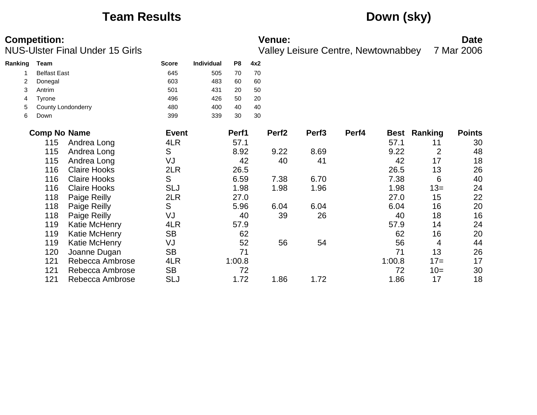## **Team Results Down (sky)**

|         | <b>Competition:</b> | <b>NUS-Ulster Final Under 15 Girls</b> |              |            |                |     | <b>Venue:</b>     | <b>Valley Leisure Centre, Newtownabbey</b> |       |        |                     | <b>Date</b><br>7 Mar 2006 |
|---------|---------------------|----------------------------------------|--------------|------------|----------------|-----|-------------------|--------------------------------------------|-------|--------|---------------------|---------------------------|
| Ranking | Team                |                                        | <b>Score</b> | Individual | P <sub>8</sub> | 4x2 |                   |                                            |       |        |                     |                           |
|         | <b>Belfast East</b> |                                        | 645          | 505        | 70             | 70  |                   |                                            |       |        |                     |                           |
|         | Donegal             |                                        | 603          | 483        | 60             | 60  |                   |                                            |       |        |                     |                           |
| 3       | Antrim              |                                        | 501          | 431        | 20             | 50  |                   |                                            |       |        |                     |                           |
| 4       | Tyrone              |                                        | 496          | 426        | 50             | 20  |                   |                                            |       |        |                     |                           |
| 5       |                     | County Londonderry                     | 480          | 400        | 40             | 40  |                   |                                            |       |        |                     |                           |
| 6       | Down                |                                        | 399          | 339        | 30             | 30  |                   |                                            |       |        |                     |                           |
|         | <b>Comp No Name</b> |                                        | <b>Event</b> |            | Perf1          |     | Perf <sub>2</sub> | Perf <sub>3</sub>                          | Perf4 |        | <b>Best Ranking</b> | <b>Points</b>             |
|         | 115                 | Andrea Long                            | 4LR          |            | 57.1           |     |                   |                                            |       | 57.1   | 11                  | 30                        |
|         | 115                 | Andrea Long                            | S            |            | 8.92           |     | 9.22              | 8.69                                       |       | 9.22   | $\overline{2}$      | 48                        |
|         | 115                 | Andrea Long                            | VJ           |            | 42             |     | 40                | 41                                         |       | 42     | 17                  | 18                        |
|         | 116                 | <b>Claire Hooks</b>                    | 2LR          |            | 26.5           |     |                   |                                            |       | 26.5   | 13                  | 26                        |
|         | 116                 | <b>Claire Hooks</b>                    | S            |            | 6.59           |     | 7.38              | 6.70                                       |       | 7.38   | 6                   | 40                        |
|         | 116                 | <b>Claire Hooks</b>                    | <b>SLJ</b>   |            | 1.98           |     | 1.98              | 1.96                                       |       | 1.98   | $13 =$              | 24                        |
|         | 118                 | Paige Reilly                           | 2LR          |            | 27.0           |     |                   |                                            |       | 27.0   | 15                  | 22                        |
|         | 118                 | Paige Reilly                           | S            |            | 5.96           |     | 6.04              | 6.04                                       |       | 6.04   | 16                  | 20                        |
|         | 118                 | Paige Reilly                           | VJ           |            | 40             |     | 39                | 26                                         |       | 40     | 18                  | 16                        |
|         | 119                 | Katie McHenry                          | 4LR          |            | 57.9           |     |                   |                                            |       | 57.9   | 14                  | 24                        |
|         | 119                 | Katie McHenry                          | <b>SB</b>    |            | 62             |     |                   |                                            |       | 62     | 16                  | 20                        |
|         | 119                 | Katie McHenry                          | VJ           |            | 52             |     | 56                | 54                                         |       | 56     | 4                   | 44                        |
|         | 120                 | Joanne Dugan                           | <b>SB</b>    |            | 71             |     |                   |                                            |       | 71     | 13                  | 26                        |
|         | 121                 | Rebecca Ambrose                        | 4LR          |            | 1:00.8         |     |                   |                                            |       | 1:00.8 | $17=$               | 17                        |
|         | 121                 | Rebecca Ambrose                        | <b>SB</b>    |            | 72             |     |                   |                                            |       | 72     | $10=$               | 30                        |
|         | 121                 | Rebecca Ambrose                        | <b>SLJ</b>   |            | 1.72           |     | 1.86              | 1.72                                       |       | 1.86   | 17                  | 18                        |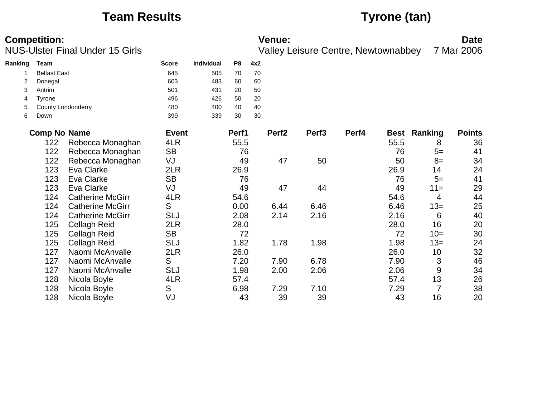## **Team Results Tyrone (tan)**

|         | <b>Competition:</b> | <b>NUS-Ulster Final Under 15 Girls</b> |              |                   |                |     | <b>Venue:</b>     |                   | <b>Valley Leisure Centre, Newtownabbey</b> |             |         | <b>Date</b><br>7 Mar 2006 |
|---------|---------------------|----------------------------------------|--------------|-------------------|----------------|-----|-------------------|-------------------|--------------------------------------------|-------------|---------|---------------------------|
| Ranking | Team                |                                        | <b>Score</b> | <b>Individual</b> | P <sub>8</sub> | 4x2 |                   |                   |                                            |             |         |                           |
|         | <b>Belfast East</b> |                                        | 645          | 505               | 70             | 70  |                   |                   |                                            |             |         |                           |
| 2       | Donegal             |                                        | 603          | 483               | 60             | 60  |                   |                   |                                            |             |         |                           |
| 3       | Antrim              |                                        | 501          | 431               | 20             | 50  |                   |                   |                                            |             |         |                           |
| 4       | <b>Tyrone</b>       |                                        | 496          | 426               | 50             | 20  |                   |                   |                                            |             |         |                           |
| 5       |                     | County Londonderry                     | 480          | 400               | 40             | 40  |                   |                   |                                            |             |         |                           |
| 6       | Down                |                                        | 399          | 339               | 30             | 30  |                   |                   |                                            |             |         |                           |
|         | <b>Comp No Name</b> |                                        | <b>Event</b> |                   | Perf1          |     | Perf <sub>2</sub> | Perf <sub>3</sub> | Perf4                                      | <b>Best</b> | Ranking | <b>Points</b>             |
|         | 122                 | Rebecca Monaghan                       | 4LR          |                   | 55.5           |     |                   |                   |                                            | 55.5        | 8       | 36                        |
|         | 122                 | Rebecca Monaghan                       | <b>SB</b>    |                   | 76             |     |                   |                   |                                            | 76          | $5=$    | 41                        |
|         | 122                 | Rebecca Monaghan                       | VJ           |                   | 49             |     | 47                | 50                |                                            | 50          | $8=$    | 34                        |
|         | 123                 | Eva Clarke                             | 2LR          |                   | 26.9           |     |                   |                   |                                            | 26.9        | 14      | 24                        |
|         | 123                 | Eva Clarke                             | <b>SB</b>    |                   | 76             |     |                   |                   |                                            | 76          | $5=$    | 41                        |
|         | 123                 | Eva Clarke                             | VJ           |                   | 49             |     | 47                | 44                |                                            | 49          | $11 =$  | 29                        |
|         | 124                 | <b>Catherine McGirr</b>                | 4LR          |                   | 54.6           |     |                   |                   |                                            | 54.6        | 4       | 44                        |
|         | 124                 | <b>Catherine McGirr</b>                | S            |                   | 0.00           |     | 6.44              | 6.46              |                                            | 6.46        | $13=$   | 25                        |
|         | 124                 | <b>Catherine McGirr</b>                | <b>SLJ</b>   |                   | 2.08           |     | 2.14              | 2.16              |                                            | 2.16        | 6       | 40                        |
|         | 125                 | <b>Cellagh Reid</b>                    | 2LR          |                   | 28.0           |     |                   |                   |                                            | 28.0        | 16      | 20                        |
|         | 125                 | <b>Cellagh Reid</b>                    | <b>SB</b>    |                   | 72             |     |                   |                   |                                            | 72          | $10=$   | 30                        |
|         | 125                 | <b>Cellagh Reid</b>                    | <b>SLJ</b>   |                   | 1.82           |     | 1.78              | 1.98              |                                            | 1.98        | $13=$   | 24                        |
|         | 127                 | Naomi McAnvalle                        | 2LR          |                   | 26.0           |     |                   |                   |                                            | 26.0        | 10      | 32                        |
|         | 127                 | Naomi McAnvalle                        | S            |                   | 7.20           |     | 7.90              | 6.78              |                                            | 7.90        | 3       | 46                        |
|         | 127                 | Naomi McAnvalle                        | <b>SLJ</b>   |                   | 1.98           |     | 2.00              | 2.06              |                                            | 2.06        | 9       | 34                        |
|         | 128                 | Nicola Boyle                           | 4LR          |                   | 57.4           |     |                   |                   |                                            | 57.4        | 13      | 26                        |
|         | 128                 | Nicola Boyle                           | S            |                   | 6.98           |     | 7.29              | 7.10              |                                            | 7.29        | 7       | 38                        |
|         | 128                 | Nicola Boyle                           | VJ           |                   | 43             |     | 39                | 39                |                                            | 43          | 16      | 20                        |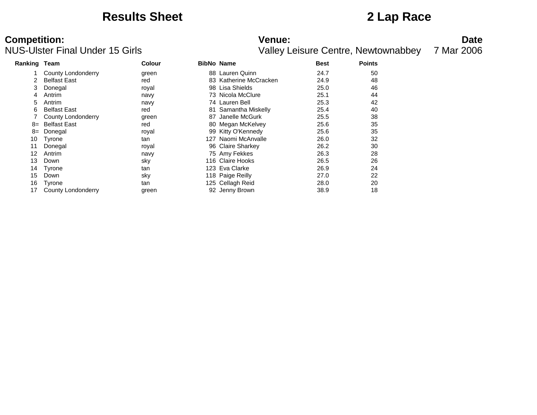### **Results Sheet 2 Lap Race**

# **Competition:**<br>**Date**<br>
Valley Leisure Centre, Newtownabbey 7 Mar 2006<br>
Valley Leisure Centre, Newtownabbey 7 Mar 2006

| Ranking Team    |                     | <b>Colour</b> | <b>BibNo Name</b>      | <b>Best</b> | <b>Points</b> |  |
|-----------------|---------------------|---------------|------------------------|-------------|---------------|--|
|                 | County Londonderry  | green         | 88 Lauren Quinn        | 24.7        | 50            |  |
|                 | <b>Belfast East</b> | red           | 83 Katherine McCracken | 24.9        | 48            |  |
| 3               | Donegal             | royal         | 98 Lisa Shields        | 25.0        | 46            |  |
| 4               | Antrim              | navy          | 73 Nicola McClure      | 25.1        | 44            |  |
| 5.              | Antrim              | navy          | 74 Lauren Bell         | 25.3        | 42            |  |
| 6               | <b>Belfast East</b> | red           | 81 Samantha Miskelly   | 25.4        | 40            |  |
|                 | County Londonderry  | green         | 87 Janelle McGurk      | 25.5        | 38            |  |
| 8=              | <b>Belfast East</b> | red           | 80 Megan McKelvey      | 25.6        | 35            |  |
| 8=              | Donegal             | royal         | 99 Kitty O'Kennedy     | 25.6        | 35            |  |
| 10              | Tyrone              | tan           | 127 Naomi McAnvalle    | 26.0        | 32            |  |
| 11              | Donegal             | royal         | 96 Claire Sharkey      | 26.2        | 30            |  |
| 12 <sup>°</sup> | Antrim              | navy          | 75 Amy Fekkes          | 26.3        | 28            |  |
| 13              | Down                | sky           | 116 Claire Hooks       | 26.5        | 26            |  |
| 14              | Tyrone              | tan           | 123 Eva Clarke         | 26.9        | 24            |  |
| 15              | Down                | sky           | 118 Paige Reilly       | 27.0        | 22            |  |
| 16              | Tyrone              | tan           | 125 Cellagh Reid       | 28.0        | 20            |  |
| 17              | County Londonderry  | green         | 92 Jenny Brown         | 38.9        | 18            |  |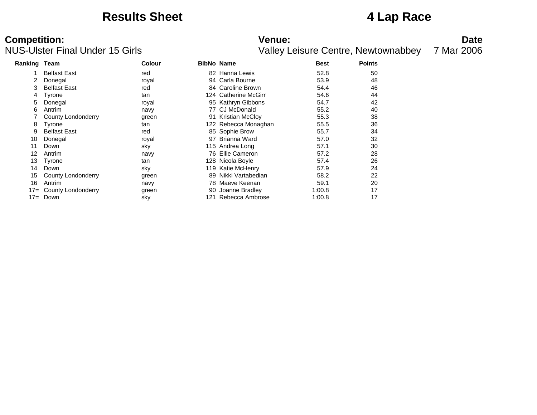### **Results Sheet 4 Lap Race**

# **Competition:**<br>**Date**<br>Valley Leisure Centre, Newtownabbey 7 Mar 2006<br>Valley Leisure Centre, Newtownabbey 7 Mar 2006

| <b>Ranking Team</b> |                     | <b>Colour</b> |     | <b>BibNo Name</b>    | <b>Best</b> | <b>Points</b> |
|---------------------|---------------------|---------------|-----|----------------------|-------------|---------------|
|                     | <b>Belfast East</b> | red           |     | 82 Hanna Lewis       | 52.8        | 50            |
| 2                   | Donegal             | royal         |     | 94 Carla Bourne      | 53.9        | 48            |
| 3                   | <b>Belfast East</b> | red           |     | 84 Caroline Brown    | 54.4        | 46            |
| 4                   | Tyrone              | tan           |     | 124 Catherine McGirr | 54.6        | 44            |
| 5                   | Donegal             | royal         |     | 95 Kathryn Gibbons   | 54.7        | 42            |
| 6                   | Antrim              | navy          |     | 77 CJ McDonald       | 55.2        | 40            |
|                     | County Londonderry  | green         |     | 91 Kristian McCloy   | 55.3        | 38            |
| 8                   | Tyrone              | tan           |     | 122 Rebecca Monaghan | 55.5        | 36            |
| 9                   | <b>Belfast East</b> | red           |     | 85 Sophie Brow       | 55.7        | 34            |
| 10                  | Donegal             | royal         | 97  | Brianna Ward         | 57.0        | 32            |
| 11                  | Down                | sky           |     | 115 Andrea Long      | 57.1        | 30            |
| 12                  | Antrim              | navy          |     | 76 Ellie Cameron     | 57.2        | 28            |
| 13                  | Tyrone              | tan           |     | 128 Nicola Boyle     | 57.4        | 26            |
| 14                  | Down                | sky           |     | 119 Katie McHenry    | 57.9        | 24            |
| 15                  | County Londonderry  | green         |     | 89 Nikki Vartabedian | 58.2        | 22            |
| 16                  | Antrim              | navy          |     | 78 Maeve Keenan      | 59.1        | 20            |
| $17 =$              | County Londonderry  | green         |     | 90 Joanne Bradley    | 1:00.8      | 17            |
| $17 =$              | Down                | sky           | 121 | Rebecca Ambrose      | 1:00.8      | 17            |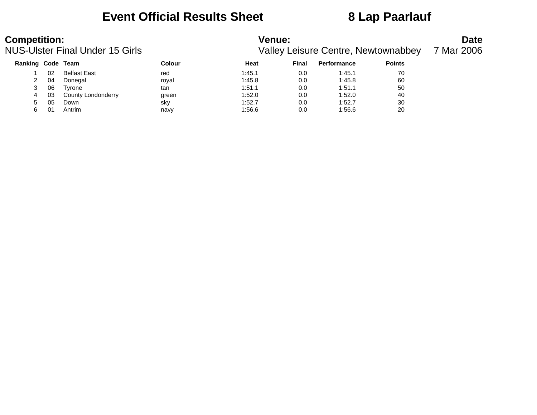### **Event Official Results Sheet 8 Lap Paarlauf**

| <b>Competition:</b> |    | <b>NUS-Ulster Final Under 15 Girls</b> |        | <b>Venue:</b> |       | <b>Valley Leisure Centre, Newtownabbey</b> |               | <b>Date</b><br>7 Mar 2006 |
|---------------------|----|----------------------------------------|--------|---------------|-------|--------------------------------------------|---------------|---------------------------|
| Ranking Code Team   |    |                                        | Colour | Heat          | Final | <b>Performance</b>                         | <b>Points</b> |                           |
|                     | 02 | <b>Belfast East</b>                    | red    | 1:45.1        | 0.0   | 1:45.1                                     | 70            |                           |
|                     | 04 | Donegal                                | royal  | 1:45.8        | 0.0   | 1:45.8                                     | 60            |                           |
| 3                   | 06 | Tvrone                                 | tan    | 1:51.1        | 0.0   | 1:51.1                                     | 50            |                           |
| 4                   | 03 | County Londonderry                     | green  | 1:52.0        | 0.0   | 1:52.0                                     | 40            |                           |
|                     | 05 | Down                                   | sky    | 1:52.7        | 0.0   | 1:52.7                                     | 30            |                           |

6 01 Antrim navy 1:56.6 0.0 1:56.6 20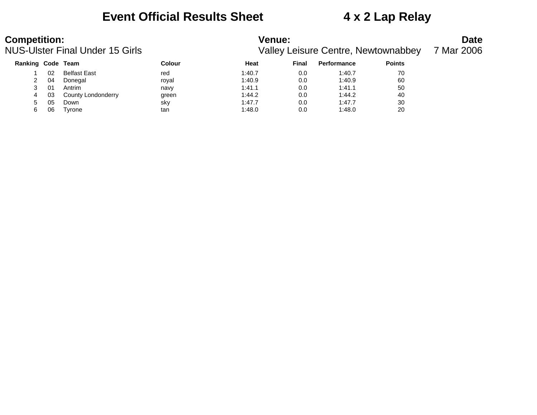### **Event Official Results Sheet 4 x 2 Lap Relay**

| <b>Competition:</b><br>NUS-Ulster Final Under 15 Girls |     |                     | <b>Venue:</b><br><b>Valley Leisure Centre, Newtownabbey</b> | <b>Date</b><br>7 Mar 2006 |       |                    |               |  |
|--------------------------------------------------------|-----|---------------------|-------------------------------------------------------------|---------------------------|-------|--------------------|---------------|--|
| Ranking Code Team                                      |     |                     | Colour                                                      | Heat                      | Final | <b>Performance</b> | <b>Points</b> |  |
|                                                        | 02. | <b>Belfast East</b> | red                                                         | 1:40.7                    | 0.0   | 1:40.7             | 70            |  |
|                                                        | 04  | Donegal             | roval                                                       | 1:40.9                    | 0.0   | 1:40.9             | 60            |  |
|                                                        | 01  | Antrim              | navy                                                        | 1:41.1                    | 0.0   | 1:41.1             | 50            |  |

|   | υı | Anthri             | navv  | . 41.  | v.u | 1.4 I . I | ວບ |
|---|----|--------------------|-------|--------|-----|-----------|----|
|   | 03 | County Londonderry | green | :44.2  | 0.0 | 1:44.2    | 40 |
|   | 05 | Down               | sky   | 1:47.7 | 0.0 | 1:47.7    | 30 |
| 6 | 06 | Tyrone             | tan   | :48.0  | 0.0 | 1:48.0    | 20 |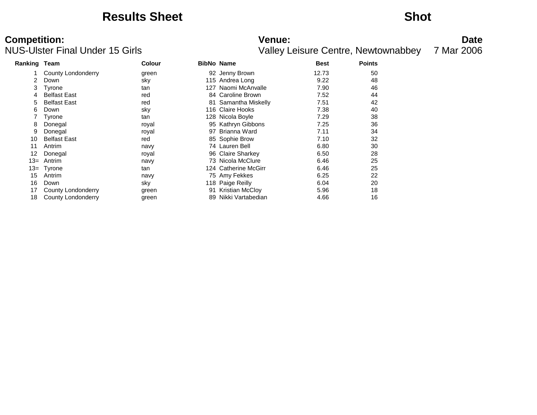### **Results Sheet Shot**

# **Competition:**<br>**Date**<br>
Valley Leisure Centre, Newtownabbey 7 Mar 2006<br>
Valley Leisure Centre, Newtownabbey 7 Mar 2006

| Ranking Team              | <b>Colour</b> |    |                        | <b>Best</b>                                                                                                                                                                                                                                                                                                                                                   | <b>Points</b> |  |
|---------------------------|---------------|----|------------------------|---------------------------------------------------------------------------------------------------------------------------------------------------------------------------------------------------------------------------------------------------------------------------------------------------------------------------------------------------------------|---------------|--|
| <b>County Londonderry</b> | green         |    |                        | 12.73                                                                                                                                                                                                                                                                                                                                                         | 50            |  |
| Down                      | sky           |    |                        | 9.22                                                                                                                                                                                                                                                                                                                                                          | 48            |  |
| Tyrone                    | tan           |    |                        | 7.90                                                                                                                                                                                                                                                                                                                                                          | 46            |  |
| <b>Belfast East</b>       | red           |    |                        | 7.52                                                                                                                                                                                                                                                                                                                                                          | 44            |  |
| <b>Belfast East</b>       | red           |    |                        | 7.51                                                                                                                                                                                                                                                                                                                                                          | 42            |  |
| Down                      | sky           |    |                        | 7.38                                                                                                                                                                                                                                                                                                                                                          | 40            |  |
| Tyrone                    | tan           |    |                        | 7.29                                                                                                                                                                                                                                                                                                                                                          | 38            |  |
| Donegal                   | royal         |    |                        | 7.25                                                                                                                                                                                                                                                                                                                                                          | 36            |  |
| Donegal                   | royal         |    |                        | 7.11                                                                                                                                                                                                                                                                                                                                                          | 34            |  |
| <b>Belfast East</b>       | red           |    |                        | 7.10                                                                                                                                                                                                                                                                                                                                                          | 32            |  |
| Antrim                    | navy          |    |                        | 6.80                                                                                                                                                                                                                                                                                                                                                          | 30            |  |
| Donegal                   | royal         |    |                        | 6.50                                                                                                                                                                                                                                                                                                                                                          | 28            |  |
| Antrim                    | navy          |    |                        | 6.46                                                                                                                                                                                                                                                                                                                                                          | 25            |  |
| Tyrone                    | tan           |    |                        | 6.46                                                                                                                                                                                                                                                                                                                                                          | 25            |  |
| Antrim                    | navy          |    |                        | 6.25                                                                                                                                                                                                                                                                                                                                                          | 22            |  |
| Down                      | sky           |    |                        | 6.04                                                                                                                                                                                                                                                                                                                                                          | 20            |  |
| County Londonderry        | green         |    | <b>Kristian McCloy</b> | 5.96                                                                                                                                                                                                                                                                                                                                                          | 18            |  |
| County Londonderry        | green         | 89 | Nikki Vartabedian      | 4.66                                                                                                                                                                                                                                                                                                                                                          | 16            |  |
|                           |               |    |                        | <b>BibNo Name</b><br>92 Jenny Brown<br>115 Andrea Long<br>127 Naomi McAnvalle<br>84 Caroline Brown<br>81 Samantha Miskelly<br>116 Claire Hooks<br>128 Nicola Boyle<br>95 Kathryn Gibbons<br>97 Brianna Ward<br>85 Sophie Brow<br>74 Lauren Bell<br>96 Claire Sharkey<br>73 Nicola McClure<br>124 Catherine McGirr<br>75 Amy Fekkes<br>118 Paige Reilly<br>91. |               |  |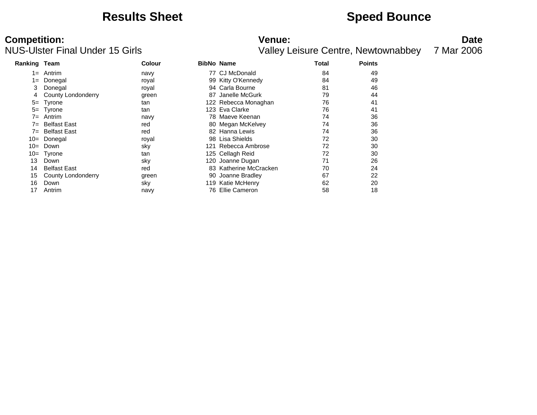### **Results Sheet <b>Speed Bounce Speed Bounce**

# **Competition:**<br>**Date**<br>
Valley Leisure Centre, Newtownabbey 7 Mar 2006<br>
Valley Leisure Centre, Newtownabbey 7 Mar 2006

| <b>Ranking Team</b> |                     | <b>Colour</b> | <b>BibNo Name</b> |                        | Total | <b>Points</b> |  |
|---------------------|---------------------|---------------|-------------------|------------------------|-------|---------------|--|
| 1=                  | Antrim              | navy          |                   | 77 CJ McDonald         | 84    | 49            |  |
| 1=                  | Donegal             | royal         |                   | 99 Kitty O'Kennedy     | 84    | 49            |  |
| 3                   | Donegal             | royal         |                   | 94 Carla Bourne        | 81    | 46            |  |
|                     | County Londonderry  | green         | 87                | Janelle McGurk         | 79    | 44            |  |
| $5=$                | Tyrone              | tan           |                   | 122 Rebecca Monaghan   | 76    | 41            |  |
| $5=$                | Tyrone              | tan           |                   | 123 Eva Clarke         | 76    | 41            |  |
| 7=                  | Antrim              | navy          |                   | 78 Maeve Keenan        | 74    | 36            |  |
| 7=                  | <b>Belfast East</b> | red           |                   | 80 Megan McKelvey      | 74    | 36            |  |
| 7=                  | <b>Belfast East</b> | red           |                   | 82 Hanna Lewis         | 74    | 36            |  |
| 10=                 | Donegal             | royal         |                   | 98 Lisa Shields        | 72    | 30            |  |
| $10=$               | Down                | sky           | 121               | Rebecca Ambrose        | 72    | 30            |  |
| $10=$               | Tyrone              | tan           |                   | 125 Cellagh Reid       | 72    | 30            |  |
| 13                  | Down                | sky           |                   | 120 Joanne Dugan       | 71    | 26            |  |
| 14                  | <b>Belfast East</b> | red           |                   | 83 Katherine McCracken | 70    | 24            |  |
| 15                  | County Londonderry  | green         |                   | 90 Joanne Bradley      | 67    | 22            |  |
| 16                  | Down                | sky           |                   | 119 Katie McHenry      | 62    | 20            |  |
| 17                  | Antrim              | navy          |                   | 76 Ellie Cameron       | 58    | 18            |  |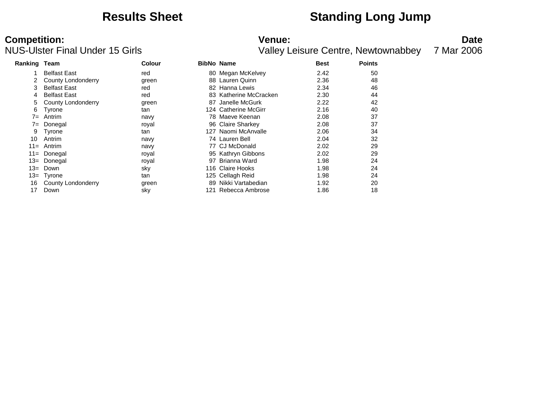### **Results Sheet Standing Long Jump**

## **Competition: Date**<br>**NUS-Ulster Final Under 15 Girls Date**<br>
Valley Leisure Centre, Newtownabbey 7 Mar 2006

| Ranking Team |                     | <b>Colour</b> |    | <b>BibNo Name</b>      | <b>Best</b> | <b>Points</b> |
|--------------|---------------------|---------------|----|------------------------|-------------|---------------|
|              | <b>Belfast East</b> | red           |    | 80 Megan McKelvey      | 2.42        | 50            |
| 2            | County Londonderry  | green         |    | 88 Lauren Quinn        | 2.36        | 48            |
| 3            | <b>Belfast East</b> | red           | 82 | Hanna Lewis            | 2.34        | 46            |
| 4            | <b>Belfast East</b> | red           |    | 83 Katherine McCracken | 2.30        | 44            |
| 5            | County Londonderry  | green         | 87 | Janelle McGurk         | 2.22        | 42            |
| 6            | Tyrone              | tan           |    | 124 Catherine McGirr   | 2.16        | 40            |
| 7=           | Antrim              | navy          |    | 78 Maeve Keenan        | 2.08        | 37            |
| 7=           | Donegal             | royal         |    | 96 Claire Sharkey      | 2.08        | 37            |
| 9            | Tyrone              | tan           |    | 127 Naomi McAnvalle    | 2.06        | 34            |
| 10           | Antrim              | navy          |    | 74 Lauren Bell         | 2.04        | 32            |
| $11 =$       | Antrim              | navy          |    | 77 CJ McDonald         | 2.02        | 29            |
| $11 =$       | Donegal             | royal         |    | 95 Kathryn Gibbons     | 2.02        | 29            |
| $13=$        | Donegal             | royal         | 97 | Brianna Ward           | 1.98        | 24            |
| $13=$        | Down                | sky           |    | 116 Claire Hooks       | 1.98        | 24            |
| $13 =$       | Tyrone              | tan           |    | 125 Cellagh Reid       | 1.98        | 24            |
| 16           | County Londonderry  | green         | 89 | Nikki Vartabedian      | 1.92        | 20            |
| 17           | Down                | sky           |    | 121 Rebecca Ambrose    | 1.86        | 18            |